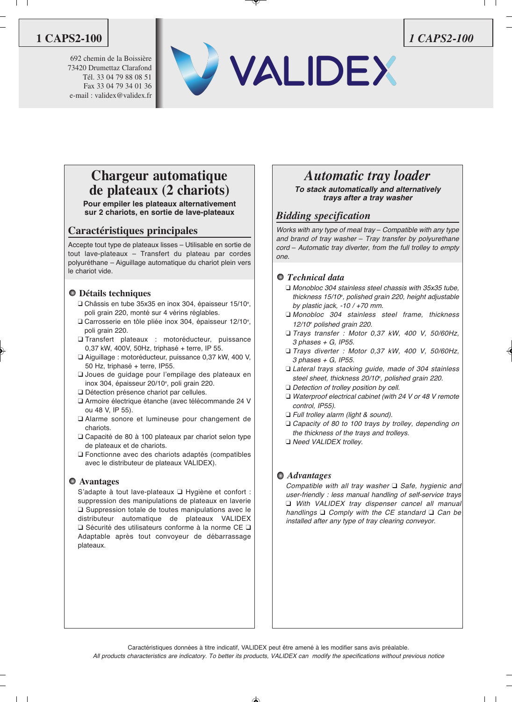692 chemin de la Boissière 73420 Drumettaz Clarafond Tél. 33 04 79 88 08 51 Fax 33 04 79 34 01 36 e-mail : validex@validex.fr





### **Chargeur automatique de plateaux (2 chariots)**

**Pour empiler les plateaux alternativement sur 2 chariots, en sortie de lave-plateaux**

### **Caractéristiques principales**

Accepte tout type de plateaux lisses – Utilisable en sortie de tout lave-plateaux – Transfert du plateau par cordes polyuréthane – Aiguillage automatique du chariot plein vers le chariot vide.

### **Détails techniques**

- $\Box$  Châssis en tube 35x35 en inox 304, épaisseur 15/10°, poli grain 220, monté sur 4 vérins réglables.
- $\square$  Carrosserie en tôle pliée inox 304, épaisseur 12/10°, poli grain 220.
- Transfert plateaux : motoréducteur, puissance 0,37 kW, 400V, 50Hz, triphasé + terre, IP 55.
- □ Aiguillage : motoréducteur, puissance 0,37 kW, 400 V, 50 Hz, triphasé + terre, IP55.
- q Joues de guidage pour l'empilage des plateaux en inox 304, épaisseur 20/10<sup>e</sup>, poli grain 220.
- Détection présence chariot par cellules.
- q Armoire électrique étanche (avec télécommande 24 V ou 48 V, IP 55).
- q Alarme sonore et lumineuse pour changement de chariots.
- $\Box$  Capacité de 80 à 100 plateaux par chariot selon type de plateaux et de chariots.
- $\Box$  Fonctionne avec des chariots adaptés (compatibles avec le distributeur de plateaux VALIDEX).

#### **Avantages**

S'adapte à tout lave-plateaux  $\square$  Hygiène et confort : suppression des manipulations de plateaux en laverie  $\square$  Suppression totale de toutes manipulations avec le distributeur automatique de plateaux VALIDEX  $\square$  Sécurité des utilisateurs conforme à la norme CE  $\square$ Adaptable après tout convoyeur de débarrassage plateaux.

## *Automatic tray loader*

**To stack automatically and alternatively trays after a tray washer**

### *Bidding specification*

Works with any type of meal tray – Compatible with any type and brand of tray washer – Tray transfer by polyurethane cord – Automatic tray diverter, from the full trolley to empty one.

### *Technical data*

- $\Box$  Monobloc 304 stainless steel chassis with 35x35 tube, thickness 15/10°, polished grain 220, height adjustable by plastic jack,  $-10 / +70$  mm.
- q Monobloc 304 stainless steel frame, thickness  $12/10^{\circ}$  polished grain 220.
- $\Box$  Trays transfer : Motor 0,37 kW, 400 V, 50/60Hz,  $3$  phases  $+$  G, IP55.
- □ Trays diverter : Motor 0,37 kW, 400 V, 50/60Hz, 3 phases + G, IP55.
- Lateral trays stacking guide, made of 304 stainless steel sheet, thickness 20/10°, polished grain 220.
- $\Box$  Detection of trolley position by cell.
- $\Box$  Waterproof electrical cabinet (with 24 V or 48 V remote control, IP55).
- $\Box$  Full trolley alarm (light & sound).
- □ Capacity of 80 to 100 trays by trolley, depending on the thickness of the trays and trolleys.
- □ Need VALIDEX trolley.

### *Advantages*

Compatible with all tray washer  $\Box$  Safe, hygienic and user-friendly : less manual handling of self-service trays q With VALIDEX tray dispenser cancel all manual handlings  $\Box$  Comply with the CE standard  $\Box$  Can be installed after any type of tray clearing conveyor.